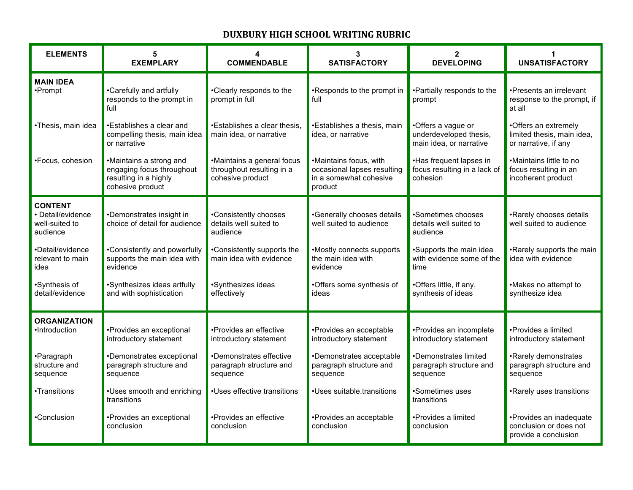## **DUXBURY HIGH SCHOOL WRITING RUBRIC**

| <b>ELEMENTS</b>                                                   | 5<br><b>EXEMPLARY</b>                                                                             | 4<br><b>COMMENDABLE</b>                                                     | 3<br><b>SATISFACTORY</b>                                                                   | $\mathbf{2}$<br><b>DEVELOPING</b>                                       | <b>UNSATISFACTORY</b>                                                      |
|-------------------------------------------------------------------|---------------------------------------------------------------------------------------------------|-----------------------------------------------------------------------------|--------------------------------------------------------------------------------------------|-------------------------------------------------------------------------|----------------------------------------------------------------------------|
| <b>MAIN IDEA</b><br>•Prompt                                       | •Carefully and artfully<br>responds to the prompt in<br>full                                      | •Clearly responds to the<br>prompt in full                                  | •Responds to the prompt in<br>full                                                         | •Partially responds to the<br>prompt                                    | •Presents an irrelevant<br>response to the prompt, if<br>at all            |
| ·Thesis, main idea                                                | •Establishes a clear and<br>compelling thesis, main idea<br>or narrative                          | •Establishes a clear thesis,<br>main idea, or narrative                     | •Establishes a thesis, main<br>idea, or narrative                                          | •Offers a vague or<br>underdeveloped thesis,<br>main idea, or narrative | •Offers an extremely<br>limited thesis, main idea,<br>or narrative, if any |
| •Focus, cohesion                                                  | •Maintains a strong and<br>engaging focus throughout<br>resulting in a highly<br>cohesive product | •Maintains a general focus<br>throughout resulting in a<br>cohesive product | •Maintains focus, with<br>occasional lapses resulting<br>in a somewhat cohesive<br>product | •Has frequent lapses in<br>focus resulting in a lack of<br>cohesion     | •Maintains little to no<br>focus resulting in an<br>incoherent product     |
| <b>CONTENT</b><br>· Detail/evidence<br>well-suited to<br>audience | •Demonstrates insight in<br>choice of detail for audience                                         | •Consistently chooses<br>details well suited to<br>audience                 | •Generally chooses details<br>well suited to audience                                      | •Sometimes chooses<br>details well suited to<br>audience                | •Rarely chooses details<br>well suited to audience                         |
| •Detail/evidence<br>relevant to main<br>idea                      | •Consistently and powerfully<br>supports the main idea with<br>evidence                           | •Consistently supports the<br>main idea with evidence                       | •Mostly connects supports<br>the main idea with<br>evidence                                | ·Supports the main idea<br>with evidence some of the<br>time            | •Rarely supports the main<br>idea with evidence                            |
| •Synthesis of<br>detail/evidence                                  | •Synthesizes ideas artfully<br>and with sophistication                                            | •Synthesizes ideas<br>effectively                                           | •Offers some synthesis of<br>ideas                                                         | •Offers little, if any,<br>synthesis of ideas                           | •Makes no attempt to<br>synthesize idea                                    |
| <b>ORGANIZATION</b><br>•Introduction                              | •Provides an exceptional<br>introductory statement                                                | •Provides an effective<br>introductory statement                            | •Provides an acceptable<br>introductory statement                                          | •Provides an incomplete<br>introductory statement                       | •Provides a limited<br>introductory statement                              |
| •Paragraph<br>structure and<br>sequence                           | •Demonstrates exceptional<br>paragraph structure and<br>sequence                                  | •Demonstrates effective<br>paragraph structure and<br>sequence              | •Demonstrates acceptable<br>paragraph structure and<br>sequence                            | •Demonstrates limited<br>paragraph structure and<br>sequence            | •Rarely demonstrates<br>paragraph structure and<br>sequence                |
| •Transitions                                                      | •Uses smooth and enriching<br>transitions                                                         | •Uses effective transitions                                                 | •Uses suitable transitions                                                                 | •Sometimes uses<br>transitions                                          | •Rarely uses transitions                                                   |
| •Conclusion                                                       | •Provides an exceptional<br>conclusion                                                            | •Provides an effective<br>conclusion                                        | •Provides an acceptable<br>conclusion                                                      | •Provides a limited<br>conclusion                                       | •Provides an inadequate<br>conclusion or does not<br>provide a conclusion  |